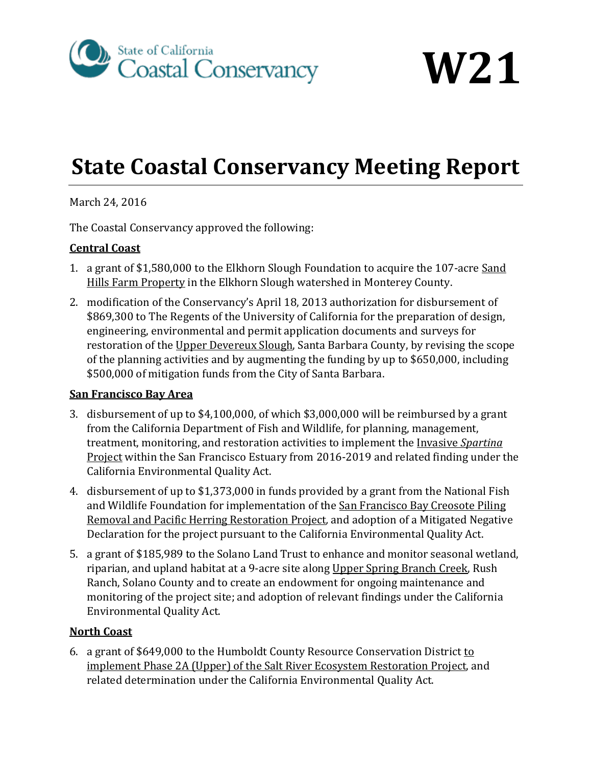

**W21**

# **State Coastal Conservancy Meeting Report**

March 24, 2016

The Coastal Conservancy approved the following:

## **Central Coast**

- 1. a grant of \$1,580,000 to the Elkhorn Slough Foundation to acquire the 107-acre Sand Hills Farm Property in the Elkhorn Slough watershed in Monterey County.
- 2. modification of the Conservancy's April 18, 2013 authorization for disbursement of \$869,300 to The Regents of the University of California for the preparation of design, engineering, environmental and permit application documents and surveys for restoration of the Upper Devereux Slough, Santa Barbara County, by revising the scope of the planning activities and by augmenting the funding by up to \$650,000, including \$500,000 of mitigation funds from the City of Santa Barbara.

### **San Francisco Bay Area**

- 3. disbursement of up to \$4,100,000, of which \$3,000,000 will be reimbursed by a grant from the California Department of Fish and Wildlife, for planning, management, treatment, monitoring, and restoration activities to implement the Invasive *Spartina* Project within the San Francisco Estuary from 2016-2019 and related finding under the California Environmental Quality Act.
- 4. disbursement of up to \$1,373,000 in funds provided by a grant from the National Fish and Wildlife Foundation for implementation of the San Francisco Bay Creosote Piling Removal and Pacific Herring Restoration Project*,* and adoption of a Mitigated Negative Declaration for the project pursuant to the California Environmental Quality Act.
- 5. a grant of \$185,989 to the Solano Land Trust to enhance and monitor seasonal wetland, riparian, and upland habitat at a 9-acre site along Upper Spring Branch Creek, Rush Ranch, Solano County and to create an endowment for ongoing maintenance and monitoring of the project site; and adoption of relevant findings under the California Environmental Quality Act.

### **North Coast**

6. a grant of \$649,000 to the Humboldt County Resource Conservation District to implement Phase 2A (Upper) of the Salt River Ecosystem Restoration Project, and related determination under the California Environmental Quality Act.